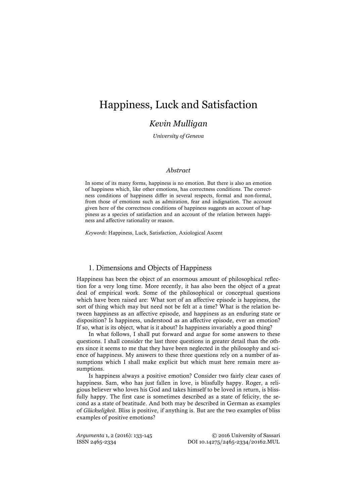# Happiness, Luck and Satisfaction

# *Kevin Mulligan*

*University of Geneva*

## *Abstract*

In some of its many forms, happiness is no emotion. But there is also an emotion of happiness which, like other emotions, has correctness conditions. The correctness conditions of happiness differ in several respects, formal and non-formal, from those of emotions such as admiration, fear and indignation. The account given here of the correctness conditions of happiness suggests an account of happiness as a species of satisfaction and an account of the relation between happiness and affective rationality or reason.

*Keywords*: Happiness, Luck, Satisfaction, Axiological Ascent

# 1. Dimensions and Objects of Happiness

Happiness has been the object of an enormous amount of philosophical reflection for a very long time. More recently, it has also been the object of a great deal of empirical work. Some of the philosophical or conceptual questions which have been raised are: What sort of an affective episode is happiness, the sort of thing which may but need not be felt at a time? What is the relation between happiness as an affective episode, and happiness as an enduring state or disposition? Is happiness, understood as an affective episode, ever an emotion? If so, what is its object, what is it about? Is happiness invariably a good thing?

In what follows, I shall put forward and argue for some answers to these questions. I shall consider the last three questions in greater detail than the others since it seems to me that they have been neglected in the philosophy and science of happiness. My answers to these three questions rely on a number of assumptions which I shall make explicit but which must here remain mere assumptions.

Is happiness always a positive emotion? Consider two fairly clear cases of happiness. Sam, who has just fallen in love, is blissfully happy. Roger, a religious believer who loves his God and takes himself to be loved in return, is blissfully happy. The first case is sometimes described as a state of felicity, the second as a state of beatitude. And both may be described in German as examples of *Glückseligkeit*. Bliss is positive, if anything is. But are the two examples of bliss examples of positive emotions?

*Argumenta* 1, 2 (2016): 133-145 © 2016 University of Sassari ISSN 2465-2334 DOI 10.14275/2465-2334/20162.MUL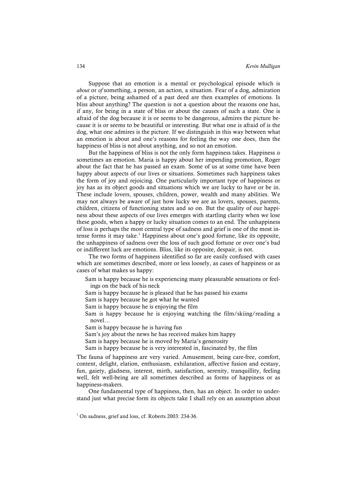Suppose that an emotion is a mental or psychological episode which is *about* or *of* something, a person, an action, a situation. Fear of a dog, admiration of a picture, being ashamed of a past deed are then examples of emotions. Is bliss about anything? The question is not a question about the reasons one has, if any, for being in a state of bliss or about the causes of such a state. One is afraid of the dog because it is or seems to be dangerous, admires the picture because it is or seems to be beautiful or interesting. But what one is afraid of is the dog, what one admires is the picture. If we distinguish in this way between what an emotion is about and one's reasons for feeling the way one does, then the happiness of bliss is not about anything, and so not an emotion.

But the happiness of bliss is not the only form happiness takes. Happiness *is* sometimes an emotion. Maria is happy about her impending promotion, Roger about the fact that he has passed an exam. Some of us at some time have been happy about aspects of our lives or situations. Sometimes such happiness takes the form of joy and rejoicing. One particularly important type of happiness or joy has as its object goods and situations which we are lucky to have or be in. These include lovers, spouses, children, power, wealth and many abilities. We may not always be aware of just how lucky we are as lovers, spouses, parents, children, citizens of functioning states and so on. But the quality of our happiness about these aspects of our lives emerges with startling clarity when we lose these goods, when a happy or lucky situation comes to an end. The unhappiness of loss is perhaps the most central type of sadness and grief is one of the most intense forms it may take. <sup>1</sup> Happiness about one's good fortune, like its opposite, the unhappiness of sadness over the loss of such good fortune or over one's bad or indifferent luck are emotions. Bliss, like its opposite, despair, is not.

The two forms of happiness identified so far are easily confused with cases which are sometimes described, more or less loosely, as cases of happiness or as cases of what makes us happy:

- Sam is happy because he is experiencing many pleasurable sensations or feelings on the back of his neck
- Sam is happy because he is pleased that he has passed his exams
- Sam is happy because he got what he wanted
- Sam is happy because he is enjoying the film
- Sam is happy because he is enjoying watching the film/skiing/reading a novel…
- Sam is happy because he is having fun
- Sam's joy about the news he has received makes him happy
- Sam is happy because he is moved by Maria's generosity
- Sam is happy because he is very interested in, fascinated by, the film

The fauna of happiness are very varied. Amusement, being care-free, comfort, content, delight, elation, enthusiasm, exhilaration, affective fusion and ecstasy, fun, gaiety, gladness, interest, mirth, satisfaction, serenity, tranquillity, feeling well, felt well-being are all sometimes described as forms of happiness or as happiness-makers.

One fundamental type of happiness, then, has an object. In order to understand just what precise form its objects take I shall rely on an assumption about

 $1$  On sadness, grief and loss, cf. Roberts 2003: 234-36.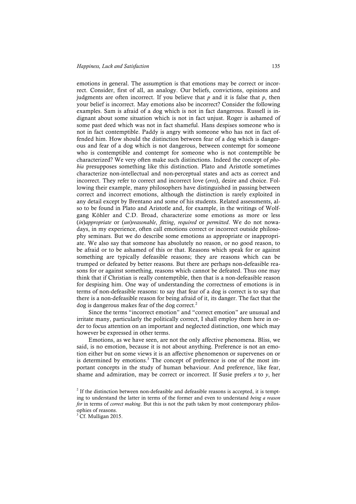emotions in general. The assumption is that emotions may be correct or incorrect. Consider, first of all, an analogy. Our beliefs, convictions, opinions and judgments are often incorrect. If you believe that  $p$  and it is false that  $p$ , then your belief is incorrect. May emotions also be incorrect? Consider the following examples. Sam is afraid of a dog which is not in fact dangerous. Russell is indignant about some situation which is not in fact unjust. Roger is ashamed of some past deed which was not in fact shameful. Hans despises someone who is not in fact contemptible. Paddy is angry with someone who has not in fact offended him. How should the distinction between fear of a dog which is dangerous and fear of a dog which is not dangerous, between contempt for someone who is contemptible and contempt for someone who is not contemptible be characterized? We very often make such distinctions. Indeed the concept of *phobia* presupposes something like this distinction. Plato and Aristotle sometimes characterize non-intellectual and non-perceptual states and acts as correct and incorrect. They refer to correct and incorrect love (*eros*), desire and choice. Following their example, many philosophers have distinguished in passing between correct and incorrect emotions, although the distinction is rarely exploited in any detail except by Brentano and some of his students. Related assessments, also to be found in Plato and Aristotle and, for example, in the writings of Wolfgang Köhler and C.D. Broad, characterize some emotions as more or less (*in*)*appropriate* or (*un*)*reasonable*, *fitting*, *required* or *permitted*. We do not nowadays, in my experience, often call emotions correct or incorrect outside philosophy seminars. But we do describe some emotions as appropriate or inappropriate. We also say that someone has absolutely no reason, or no good reason, to be afraid or to be ashamed of this or that. Reasons which speak for or against something are typically defeasible reasons; they are reasons which can be trumped or defeated by better reasons. But there are perhaps non-defeasible reasons for or against something, reasons which cannot be defeated. Thus one may think that if Christian is really contemptible, then that is a non-defeasible reason for despising him. One way of understanding the correctness of emotions is in terms of non-defeasible reasons: to say that fear of a dog is correct is to say that there is a non-defeasible reason for being afraid of it, its danger. The fact that the dog is dangerous makes fear of the dog correct.<sup>2</sup>

Since the terms "incorrect emotion" and "correct emotion" are unusual and irritate many, particularly the politically correct, I shall employ them here in order to focus attention on an important and neglected distinction, one which may however be expressed in other terms.

Emotions, as we have seen, are not the only affective phenomena. Bliss, we said, is no emotion, because it is not about anything. Preference is not an emotion either but on some views it is an affective phenomenon or supervenes on or is determined by emotions. <sup>3</sup> The concept of preference is one of the most important concepts in the study of human behaviour. And preference, like fear, shame and admiration, may be correct or incorrect. If Susie prefers  $x$  to  $y$ , her

 $2$  If the distinction between non-defeasible and defeasible reasons is accepted, it is tempting to understand the latter in terms of the former and even to understand *being a reason for* in terms of *correct making*. But this is not the path taken by most contemporary philosophies of reasons.

 $3$  Cf. Mulligan 2015.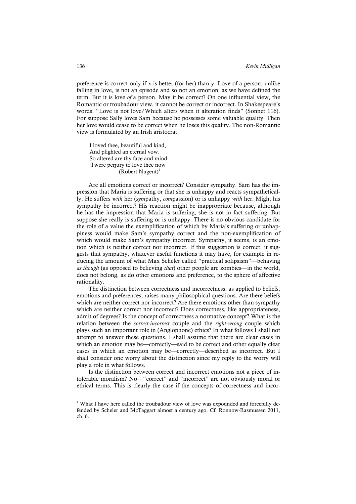preference is correct only if x is better (for her) than y. Love of a person, unlike falling in love, is not an episode and so not an emotion, as we have defined the term. But it is love *of* a person. May it be correct? On one influential view, the Romantic or troubadour view, it cannot be correct or incorrect. In Shakespeare's words, "Love is not love/Which alters when it alteration finds" (Sonnet 116). For suppose Sally loves Sam because he possesses some valuable quality. Then her love would cease to be correct when he loses this quality. The non-Romantic view is formulated by an Irish aristocrat:

 I loved thee, beautiful and kind, And plighted an eternal vow. So altered are thy face and mind 'Twere perjury to love thee now (Robert Nugent) 4

Are all emotions correct or incorrect? Consider sympathy. Sam has the impression that Maria is suffering or that she is unhappy and reacts sympathetically. He suffers *with* her (*sym*pathy, *com*passion) or is unhappy *with* her. Might his sympathy be incorrect? His reaction might be inappropriate because, although he has the impression that Maria is suffering, she is not in fact suffering. But suppose she really is suffering or is unhappy. There is no obvious candidate for the role of a value the exemplification of which by Maria's suffering or unhappiness would make Sam's sympathy correct and the non-exemplification of which would make Sam's sympathy incorrect. Sympathy, it seems, is an emotion which is neither correct nor incorrect. If this suggestion is correct, it suggests that sympathy, whatever useful functions it may have, for example in reducing the amount of what Max Scheler called "practical solipsism"—behaving *as though* (as opposed to believing *that*) other people are zombies—in the world, does not belong, as do other emotions and preference, to the sphere of affective rationality.

The distinction between correctness and incorrectness, as applied to beliefs, emotions and preferences, raises many philosophical questions. Are there beliefs which are neither correct nor incorrect? Are there emotions other than sympathy which are neither correct nor incorrect? Does correctness, like appropriateness, admit of degrees? Is the concept of correctness a normative concept? What is the relation between the *correct-incorrect* couple and the *right-wrong* couple which plays such an important role in (Anglophone) ethics? In what follows I shall not attempt to answer these questions. I shall assume that there are clear cases in which an emotion may be—correctly—said to be correct and other equally clear cases in which an emotion may be—correctly—described as incorrect. But I shall consider one worry about the distinction since my reply to the worry will play a role in what follows.

Is the distinction between correct and incorrect emotions not a piece of intolerable moralism? No—"correct" and "incorrect" are not obviously moral or ethical terms. This is clearly the case if the concepts of correctness and incor-

<sup>4</sup> What I have here called the troubadour view of love was expounded and forcefully defended by Scheler and McTaggart almost a century ago. Cf. Ronnow-Rasmussen 2011, ch. 6.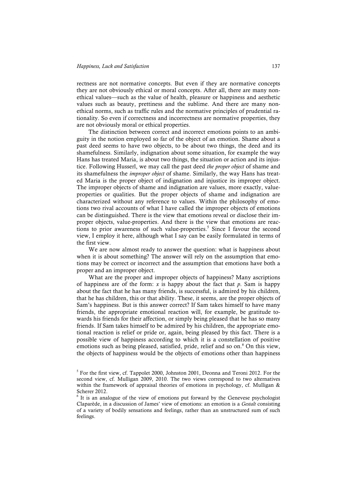rectness are not normative concepts. But even if they are normative concepts they are not obviously ethical or moral concepts. After all, there are many nonethical values—such as the value of health, pleasure or happiness and aesthetic values such as beauty, prettiness and the sublime. And there are many nonethical norms, such as traffic rules and the normative principles of prudential rationality. So even if correctness and incorrectness are normative properties, they are not obviously moral or ethical properties.

The distinction between correct and incorrect emotions points to an ambiguity in the notion employed so far of the object of an emotion. Shame about a past deed seems to have two objects, to be about two things, the deed and its shamefulness. Similarly, indignation about some situation, for example the way Hans has treated Maria, is about two things, the situation or action and its injustice. Following Husserl, we may call the past deed *the proper object* of shame and its shamefulness the *improper object* of shame. Similarly, the way Hans has treated Maria is the proper object of indignation and injustice its improper object. The improper objects of shame and indignation are values, more exactly, valueproperties or qualities. But the proper objects of shame and indignation are characterized without any reference to values. Within the philosophy of emotions two rival accounts of what I have called the improper objects of emotions can be distinguished. There is the view that emotions reveal or disclose their improper objects, value-properties. And there is the view that emotions are reactions to prior awareness of such value-properties. <sup>5</sup> Since I favour the second view, I employ it here, although what I say can be easily formulated in terms of the first view.

We are now almost ready to answer the question: what is happiness about when it is about something? The answer will rely on the assumption that emotions may be correct or incorrect and the assumption that emotions have both a proper and an improper object.

What are the proper and improper objects of happiness? Many ascriptions of happiness are of the form:  $x$  is happy about the fact that  $p$ . Sam is happy about the fact that he has many friends, is successful, is admired by his children, that he has children, this or that ability. These, it seems, are the proper objects of Sam's happiness. But is this answer correct? If Sam takes himself to have many friends, the appropriate emotional reaction will, for example, be gratitude towards his friends for their affection, or simply being pleased that he has so many friends. If Sam takes himself to be admired by his children, the appropriate emotional reaction is relief or pride or, again, being pleased by this fact. There is a possible view of happiness according to which it is a constellation of positive emotions such as being pleased, satisfied, pride, relief and so on. <sup>6</sup> On this view, the objects of happiness would be the objects of emotions other than happiness

 $5$  For the first view, cf. Tappolet 2000, Johnston 2001, Deonna and Teroni 2012. For the second view, cf. Mulligan 2009, 2010. The two views correspond to two alternatives within the framework of appraisal theories of emotions in psychology, cf. Mulligan & Scherer 2012.

<sup>&</sup>lt;sup>6</sup> It is an analogue of the view of emotions put forward by the Genevese psychologist Claparède, in a discussion of James' view of emotions: an emotion is a *Gestalt* consisting of a variety of bodily sensations and feelings, rather than an unstructured sum of such feelings.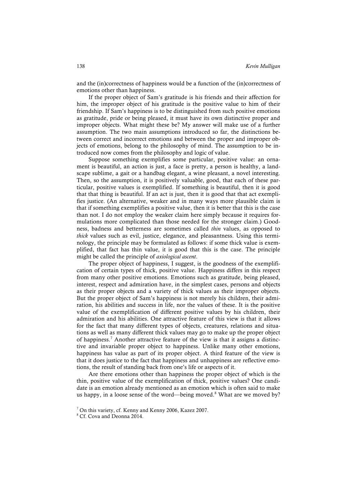and the (in)correctness of happiness would be a function of the (in)correctness of emotions other than happiness.

If the proper object of Sam's gratitude is his friends and their affection for him, the improper object of his gratitude is the positive value to him of their friendship. If Sam's happiness is to be distinguished from such positive emotions as gratitude, pride or being pleased, it must have its own distinctive proper and improper objects. What might these be? My answer will make use of a further assumption. The two main assumptions introduced so far, the distinctions between correct and incorrect emotions and between the proper and improper objects of emotions, belong to the philosophy of mind. The assumption to be introduced now comes from the philosophy and logic of value.

Suppose something exemplifies some particular, positive value: an ornament is beautiful, an action is just, a face is pretty, a person is healthy, a landscape sublime, a gait or a handbag elegant, a wine pleasant, a novel interesting. Then, so the assumption, it is positively valuable, good, that each of these particular, positive values is exemplified. If something is beautiful, then it is good that that thing is beautiful. If an act is just, then it is good that that act exemplifies justice. (An alternative, weaker and in many ways more plausible claim is that if something exemplifies a positive value, then it is better that this is the case than not. I do not employ the weaker claim here simply because it requires formulations more complicated than those needed for the stronger claim.) Goodness, badness and betterness are sometimes called *thin* values, as opposed to *thick* values such as evil, justice, elegance, and pleasantness. Using this terminology, the principle may be formulated as follows: if some thick value is exemplified, that fact has thin value, it is good that this is the case. The principle might be called the principle of *axiological ascent*.

The proper object of happiness, I suggest, is the goodness of the exemplification of certain types of thick, positive value. Happiness differs in this respect from many other positive emotions. Emotions such as gratitude, being pleased, interest, respect and admiration have, in the simplest cases, persons and objects as their proper objects and a variety of thick values as their improper objects. But the proper object of Sam's happiness is not merely his children, their admiration, his abilities and success in life, nor the values of these. It is the positive value of the exemplification of different positive values by his children, their admiration and his abilities. One attractive feature of this view is that it allows for the fact that many different types of objects, creatures, relations and situations as well as many different thick values may go to make up the proper object of happiness. <sup>7</sup> Another attractive feature of the view is that it assigns a distinctive and invariable proper object to happiness. Unlike many other emotions, happiness has value as part of its proper object. A third feature of the view is that it does justice to the fact that happiness and unhappiness are reflective emotions, the result of standing back from one's life or aspects of it.

Are there emotions other than happiness the proper object of which is the thin, positive value of the exemplification of thick, positive values? One candidate is an emotion already mentioned as an emotion which is often said to make us happy, in a loose sense of the word—being moved.<sup>8</sup> What are we moved by?

 $<sup>7</sup>$  On this variety, cf. Kenny and Kenny 2006, Kazez 2007.</sup>

<sup>&</sup>lt;sup>8</sup> Cf. Cova and Deonna 2014.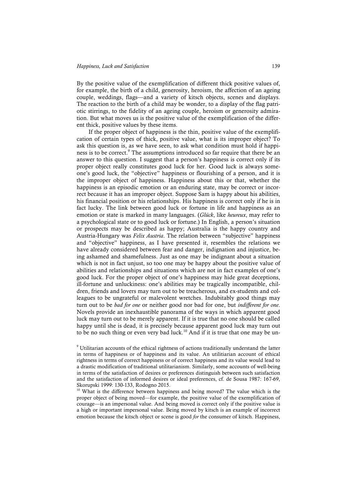#### *Happiness, Luck and Satisfaction* 139

By the positive value of the exemplification of different thick positive values of, for example, the birth of a child, generosity, heroism, the affection of an ageing couple, weddings, flags—and a variety of kitsch objects, scenes and displays. The reaction to the birth of a child may be wonder, to a display of the flag patriotic stirrings, to the fidelity of an ageing couple, heroism or generosity admiration. But what moves us is the positive value of the exemplification of the different thick, positive values by these items.

If the proper object of happiness is the thin, positive value of the exemplification of certain types of thick, positive value, what is its improper object? To ask this question is, as we have seen, to ask what condition must hold if happiness is to be correct.<sup>9</sup> The assumptions introduced so far require that there be an answer to this question. I suggest that a person's happiness is correct only if its proper object really constitutes good luck for her. Good luck is always someone's good luck, the "objective" happiness or flourishing of a person, and it is the improper object of happiness. Happiness about this or that, whether the happiness is an episodic emotion or an enduring state, may be correct or incorrect because it has an improper object. Suppose Sam is happy about his abilities, his financial position or his relationships. His happiness is correct only if he is in fact lucky. The link between good luck or fortune in life and happiness as an emotion or state is marked in many languages. (*Glück*, like *heureux*, may refer to a psychological state or to good luck or fortune.) In English, a person's situation or prospects may be described as happy; Australia is the happy country and Austria-Hungary was *Felix Austria*. The relation between "subjective" happiness and "objective" happiness, as I have presented it, resembles the relations we have already considered between fear and danger, indignation and injustice, being ashamed and shamefulness. Just as one may be indignant about a situation which is not in fact unjust, so too one may be happy about the positive value of abilities and relationships and situations which are not in fact examples of one's good luck. For the proper object of one's happiness may hide great deceptions, ill-fortune and unluckiness: one's abilities may be tragically incompatible, children, friends and lovers may turn out to be treacherous, and ex-students and colleagues to be ungrateful or malevolent wretches. Indubitably good things may turn out to be *bad for one* or neither good nor bad for one, but *indifferent for one*. Novels provide an inexhaustible panorama of the ways in which apparent good luck may turn out to be merely apparent. If it is true that no one should be called happy until she is dead, it is precisely because apparent good luck may turn out to be no such thing or even very bad luck.<sup>10</sup> And if it is true that one may be un-

<sup>10</sup> What is the difference between happiness and being moved? The value which is the proper object of being moved—for example, the positive value of the exemplification of courage—is an impersonal value. And being moved is correct only if the positive value is a high or important impersonal value. Being moved by kitsch is an example of incorrect emotion because the kitsch object or scene is good *for* the consumer of kitsch. Happiness,

<sup>9</sup> Utilitarian accounts of the ethical rightness of actions traditionally understand the latter in terms of happiness or of happiness and its value. An utilitiarian account of ethical rightness in terms of correct happiness or of correct happiness and its value would lead to a drastic modification of traditional utilitarianism. Similarly, some accounts of well-being in terms of the satisfaction of desires or preferences distinguish between such satisfaction and the satisfaction of informed desires or ideal preferences, cf. de Sousa 1987: 167-69, Skorupski 1999: 130-133, Rodogno 2015.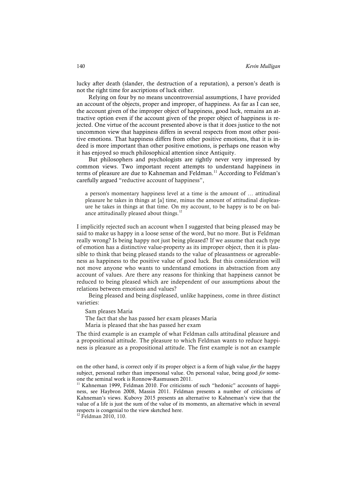lucky after death (slander, the destruction of a reputation), a person's death is not the right time for ascriptions of luck either.

Relying on four by no means uncontroversial assumptions, I have provided an account of the objects, proper and improper, of happiness. As far as I can see, the account given of the improper object of happiness, good luck, remains an attractive option even if the account given of the proper object of happiness is rejected. One virtue of the account presented above is that it does justice to the not uncommon view that happiness differs in several respects from most other positive emotions. That happiness differs from other positive emotions, that it is indeed is more important than other positive emotions, is perhaps one reason why it has enjoyed so much philosophical attention since Antiquity.

But philosophers and psychologists are rightly never very impressed by common views. Two important recent attempts to understand happiness in terms of pleasure are due to Kahneman and Feldman.<sup>11</sup> According to Feldman's carefully argued "reductive account of happiness",

a person's momentary happiness level at a time is the amount of … attitudinal pleasure he takes in things at [a] time, minus the amount of attitudinal displeasure he takes in things at that time. On my account, to be happy is to be on balance attitudinally pleased about things.<sup>12</sup>

I implicitly rejected such an account when I suggested that being pleased may be said to make us happy in a loose sense of the word, but no more. But is Feldman really wrong? Is being happy not just being pleased? If we assume that each type of emotion has a distinctive value-property as its improper object, then it is plausible to think that being pleased stands to the value of pleasantness or agreeableness as happiness to the positive value of good luck. But this consideration will not move anyone who wants to understand emotions in abstraction from any account of values. Are there any reasons for thinking that happiness cannot be reduced to being pleased which are independent of our assumptions about the relations between emotions and values?

Being pleased and being displeased, unlike happiness, come in three distinct varieties:

Sam pleases Maria

The fact that she has passed her exam pleases Maria

Maria is pleased that she has passed her exam

The third example is an example of what Feldman calls attitudinal pleasure and a propositional attitude. The pleasure to which Feldman wants to reduce happiness is pleasure as a propositional attitude. The first example is not an example

<sup>12</sup> Feldman 2010, 110.

on the other hand, is correct only if its proper object is a form of high value *for* the happy subject, personal rather than impersonal value. On personal value, being good *for* someone the seminal work is Ronnow-Rasmussen 2011.<br><sup>11</sup> Kahneman 1999, Feldman 2010. For criticisms of such "hedonic" accounts of happi-

ness, see Haybron 2008, Massin 2011. Feldman presents a number of criticisms of Kahneman's views. Kubovy 2015 presents an alternative to Kahneman's view that the value of a life is just the sum of the value of its moments, an alternative which in several respects is congenial to the view sketched here.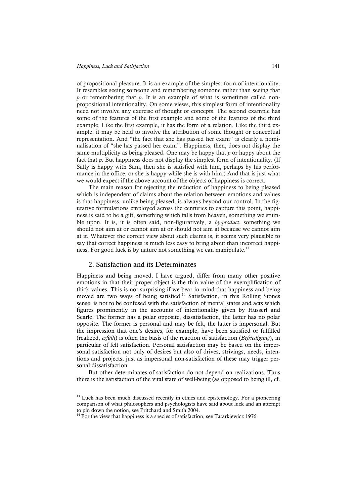of propositional pleasure. It is an example of the simplest form of intentionality. It resembles seeing someone and remembering someone rather than seeing that *p* or remembering that *p*. It is an example of what is sometimes called nonpropositional intentionality. On some views, this simplest form of intentionality need not involve any exercise of thought or concepts. The second example has some of the features of the first example and some of the features of the third example. Like the first example, it has the form of a relation. Like the third example, it may be held to involve the attribution of some thought or conceptual representation. And "the fact that she has passed her exam" is clearly a nominalisation of "she has passed her exam". Happiness, then, does not display the same multiplicity as being pleased. One may be happy that *p* or happy about the fact that *p*. But happiness does not display the simplest form of intentionality. (If Sally is happy with Sam, then she is satisfied with him, perhaps by his performance in the office, or she is happy while she is with him.) And that is just what we would expect if the above account of the objects of happiness is correct.

The main reason for rejecting the reduction of happiness to being pleased which is independent of claims about the relation between emotions and values is that happiness, unlike being pleased, is always beyond our control. In the figurative formulations employed across the centuries to capture this point, happiness is said to be a gift, something which falls from heaven, something we stumble upon. It is, it is often said, non-figuratively, a *by-product*, something we should not aim at or cannot aim at or should not aim at because we cannot aim at it. Whatever the correct view about such claims is, it seems very plausible to say that correct happiness is much less easy to bring about than incorrect happiness. For good luck is by nature not something we can manipulate.<sup>13</sup>

#### 2. Satisfaction and its Determinates

Happiness and being moved, I have argued, differ from many other positive emotions in that their proper object is the thin value of the exemplification of thick values. This is not surprising if we bear in mind that happiness and being moved are two ways of being satisfied. <sup>14</sup> Satisfaction, in this Rolling Stones sense, is not to be confused with the satisfaction of mental states and acts which figures prominently in the accounts of intentionality given by Husserl and Searle. The former has a polar opposite, dissatisfaction, the latter has no polar opposite. The former is personal and may be felt, the latter is impersonal. But the impression that one's desires, for example, have been satisfied or fulfilled (realized, *erfüllt*) is often the basis of the reaction of satisfaction (*Befriedigung*), in particular of felt satisfaction. Personal satisfaction may be based on the impersonal satisfaction not only of desires but also of drives, strivings, needs, intentions and projects, just as impersonal non-satisfaction of these may trigger personal dissatisfaction.

But other determinates of satisfaction do not depend on realizations. Thus there is the satisfaction of the vital state of well-being (as opposed to being ill, cf.

<sup>&</sup>lt;sup>13</sup> Luck has been much discussed recently in ethics and epistemology. For a pioneering comparison of what philosophers and psychologists have said about luck and an attempt to pin down the notion, see Pritchard and Smith 2004.

 $14$  For the view that happiness is a species of satisfaction, see Tatarkiewicz 1976.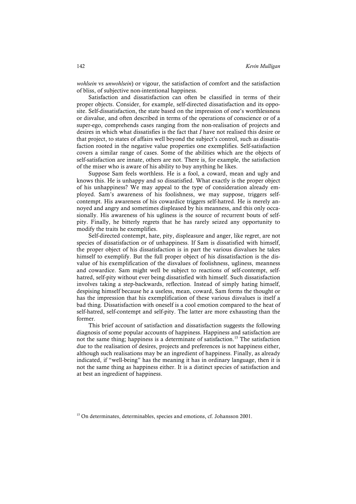*wohlsein* vs *unwohlsein*) or vigour, the satisfaction of comfort and the satisfaction of bliss, of subjective non-intentional happiness.

Satisfaction and dissatisfaction can often be classified in terms of their proper objects. Consider, for example, self-directed dissatisfaction and its opposite. Self-dissatisfaction, the state based on the impression of one's worthlessness or disvalue, and often described in terms of the operations of conscience or of a super-ego, comprehends cases ranging from the non-realisation of projects and desires in which what dissatisfies is the fact that *I* have not realised this desire or that project, to states of affairs well beyond the subject's control, such as dissatisfaction rooted in the negative value properties one exemplifies. Self-satisfaction covers a similar range of cases. Some of the abilities which are the objects of self-satisfaction are innate, others are not. There is, for example, the satisfaction of the miser who is aware of his ability to buy anything he likes.

Suppose Sam feels worthless. He is a fool, a coward, mean and ugly and knows this. He is unhappy and so dissatisfied. What exactly is the proper object of his unhappiness? We may appeal to the type of consideration already employed. Sam's awareness of his foolishness, we may suppose, triggers selfcontempt. His awareness of his cowardice triggers self-hatred. He is merely annoyed and angry and sometimes displeased by his meanness, and this only occasionally. His awareness of his ugliness is the source of recurrent bouts of selfpity. Finally, he bitterly regrets that he has rarely seized any opportunity to modify the traits he exemplifies.

Self-directed contempt, hate, pity, displeasure and anger, like regret, are not species of dissatisfaction or of unhappiness. If Sam is dissatisfied with himself, the proper object of his dissatisfaction is in part the various disvalues he takes himself to exemplify. But the full proper object of his dissatisfaction is the disvalue of his exemplification of the disvalues of foolishness, ugliness, meanness and cowardice. Sam might well be subject to reactions of self-contempt, selfhatred, self-pity without ever being dissatisfied with himself. Such dissatisfaction involves taking a step-backwards, reflection. Instead of simply hating himself, despising himself because he a useless, mean, coward, Sam forms the thought or has the impression that his exemplification of these various disvalues is itself a bad thing. Dissatisfaction with oneself is a cool emotion compared to the heat of self-hatred, self-contempt and self-pity. The latter are more exhausting than the former.

This brief account of satisfaction and dissatisfaction suggests the following diagnosis of some popular accounts of happiness. Happiness and satisfaction are not the same thing; happiness is a determinate of satisfaction.<sup>15</sup> The satisfaction due to the realisation of desires, projects and preferences is not happiness either, although such realisations may be an ingredient of happiness. Finally, as already indicated, if "well-being" has the meaning it has in ordinary language, then it is not the same thing as happiness either. It is a distinct species of satisfaction and at best an ingredient of happiness.

<sup>&</sup>lt;sup>15</sup> On determinates, determinables, species and emotions, cf. Johansson 2001.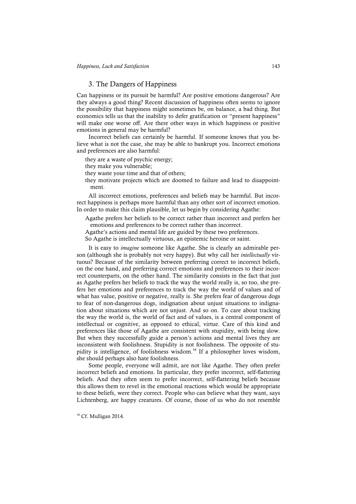### 3. The Dangers of Happiness

Can happiness or its pursuit be harmful? Are positive emotions dangerous? Are they always a good thing? Recent discussion of happiness often seems to ignore the possibility that happiness might sometimes be, on balance, a bad thing. But economics tells us that the inability to defer gratification or "present happiness" will make one worse off. Are there other ways in which happiness or positive emotions in general may be harmful?

Incorrect beliefs can certainly be harmful. If someone knows that you believe what is not the case, she may be able to bankrupt you. Incorrect emotions and preferences are also harmful:

they are a waste of psychic energy;

they make you vulnerable;

they waste your time and that of others;

they motivate projects which are doomed to failure and lead to disappointment.

All incorrect emotions, preferences and beliefs may be harmful. But incorrect happiness is perhaps more harmful than any other sort of incorrect emotion. In order to make this claim plausible, let us begin by considering Agathe:

Agathe prefers her beliefs to be correct rather than incorrect and prefers her emotions and preferences to be correct rather than incorrect.

Agathe's actions and mental life are guided by these two preferences.

So Agathe is intellectually virtuous, an epistemic heroine or saint.

It is easy to *imagine* someone like Agathe. She is clearly an admirable person (although she is probably not very happy). But why call her *intellectually* virtuous? Because of the similarity between preferring correct to incorrect beliefs, on the one hand, and preferring correct emotions and preferences to their incorrect counterparts, on the other hand. The similarity consists in the fact that just as Agathe prefers her beliefs to track the way the world really is, so too, she prefers her emotions and preferences to track the way the world of values and of what has value, positive or negative, really is. She prefers fear of dangerous dogs to fear of non-dangerous dogs, indignation about unjust situations to indignation about situations which are not unjust. And so on. To care about tracking the way the world is, the world of fact and of values, is a central component of intellectual or cognitive, as opposed to ethical, virtue. Care of this kind and preferences like those of Agathe are consistent with stupidity, with being slow. But when they successfully guide a person's actions and mental lives they are inconsistent with foolishness. Stupidity is not foolishness. The opposite of stupidity is intelligence, of foolishness wisdom. <sup>16</sup> If a philosopher loves wisdom, she should perhaps also hate foolishness.

Some people, everyone will admit, are not like Agathe. They often prefer incorrect beliefs and emotions. In particular, they prefer incorrect, self-flattering beliefs. And they often seem to prefer incorrect, self-flattering beliefs because this allows them to revel in the emotional reactions which would be appropriate to these beliefs, were they correct. People who can believe what they want, says Lichtenberg, are happy creatures. Of course, those of us who do not resemble

<sup>16</sup> Cf. Mulligan 2014.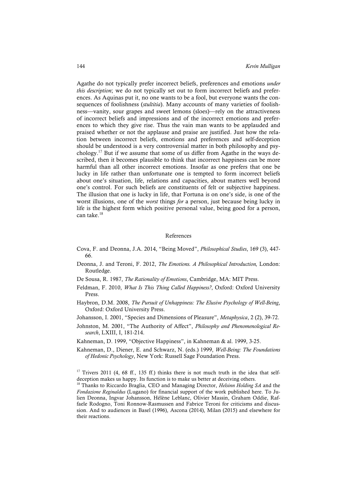Agathe do not typically prefer incorrect beliefs, preferences and emotions *under this description*; we do not typically set out to form incorrect beliefs and preferences. As Aquinas put it, no one wants to be a fool, but everyone wants the consequences of foolishness (*stultitia*). Many accounts of many varieties of foolishness—vanity, sour grapes and sweet lemons (sloes)—rely on the attractiveness of incorrect beliefs and impressions and of the incorrect emotions and preferences to which they give rise. Thus the vain man wants to be applauded and praised whether or not the applause and praise are justified. Just how the relation between incorrect beliefs, emotions and preferences and self-deception should be understood is a very controversial matter in both philosophy and psychology. <sup>17</sup> But if we assume that some of us differ from Agathe in the ways described, then it becomes plausible to think that incorrect happiness can be more harmful than all other incorrect emotions. Insofar as one prefers that one be lucky in life rather than unfortunate one is tempted to form incorrect beliefs about one's situation, life, relations and capacities, about matters well beyond one's control. For such beliefs are constituents of felt or subjective happiness. The illusion that one is lucky in life, that Fortuna is on one's side, is one of the worst illusions, one of the *worst* things *for* a person, just because being lucky in life is the highest form which positive personal value, being good for a person, can take.<sup>18</sup>

#### References

- Cova, F. and Deonna, J.A. 2014, "Being Moved", *Philosophical Studies*, 169 (3), 447- 66.
- Deonna, J. and Teroni, F. 2012, *The Emotions. A Philosophical Introduction,* London: Routledge.
- De Sousa, R. 1987, *The Rationality of Emotions*, Cambridge, MA: MIT Press.
- Feldman, F. 2010, *What Is This Thing Called Happiness?*, Oxford: Oxford University Press.
- Haybron, D.M. 2008, *The Pursuit of Unhappiness: The Elusive Psychology of Well-Being*, Oxford: Oxford University Press.
- Johansson, I. 2001, "Species and Dimensions of Pleasure", *Metaphysica*, 2 (2), 39-72.
- Johnston, M. 2001, "The Authority of Affect", *Philosophy and Phenomenological Research*, LXIII, I, 181-214.
- Kahneman, D. 1999, "Objective Happiness", in Kahneman & al. 1999, 3-25.
- Kahneman, D., Diener, E. and Schwarz, N. (eds.) 1999, *Well-Being: The Foundations of Hedonic Psychology*, New York: Russell Sage Foundation Press.

 $17$  Trivers 2011 (4, 68 ff., 135 ff.) thinks there is not much truth in the idea that selfdeception makes us happy. Its function is to make us better at deceiving others.

<sup>18</sup> Thanks to Riccardo Braglia, CEO and Managing Director, *Helsinn Holding SA* and the *Fondazione Reginaldus* (Lugano) for financial support of the work published here. To Julien Deonna, Ingvar Johansson, Hélène Leblanc, Olivier Massin, Graham Oddie, Raffaele Rodogno, Toni Ronnow-Rasmussen and Fabrice Teroni for criticisms and discussion. And to audiences in Basel (1996), Ascona (2014), Milan (2015) and elsewhere for their reactions.